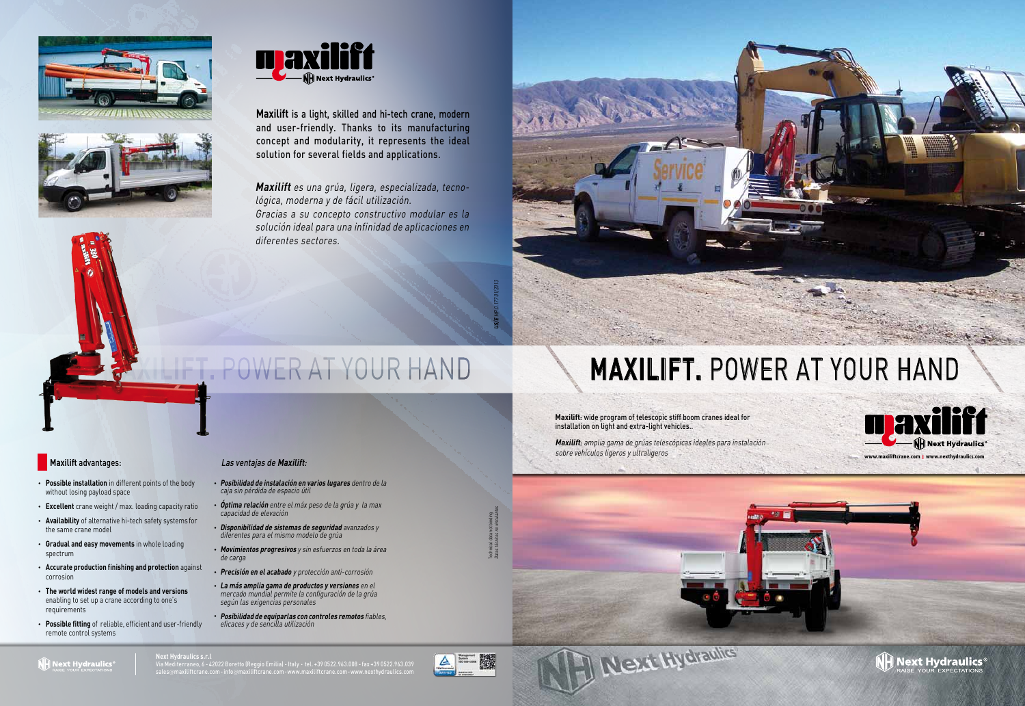**www.maxiliftcrane.com I www.nexthydraulics.com**

 $\hat{\mathsf{N}}$  Next Hydraulics $^{\circ}$ 

**Next Hydraulics s.r.l**

Via Mediterraneo, 6 - 42022 Boretto (Reggio Emilia) - Italy **•** tel. +39 0522.963.008 - fax +39 0522.963.039 sales@maxiliftcrane.com - info@maxiliftcrane.com **•** www.maxiliftcrane.com - www.nexthydraulics.com











**Maxilift** is a light, skilled and hi-tech crane, modern and user-friendly. Thanks to its manufacturing concept and modularity, it represents the ideal solution for several fields and applications.

> Maxilift: wide program of telescopic stiff boom cranes ideal for installation on light and extra-light vehicles..

**US/E** MP.0.177 01/2013



### **NH** Next Hydraulics

### **Maxilift** advantages:

- **Possible installation** in different points of the body without losing payload space
- **Excellent** crane weight / max. loading capacity ratio
- **Availability** of alternative hi-tech safety systems for the same crane model
- **Gradual and easy movements** in whole loading spectrum
- **Accurate production finishing and protection** against corrosion
- **The world widest range of models and versions** enabling to set up a crane according to one's requirements
- **Possible fitting** of reliable, efficient and user-friendly remote control systems

**Maxilift** es una grúa, ligera, especializada, tecnológica, moderna y de fácil utilización. Gracias a su concepto constructivo modular es la solución ideal para una infinidad de aplicaciones en diferentes sectores.

## POWER AT YOUR HAND

Maxilift: amplia gama de grúas telescópicas ideales para instalación sobre vehículos ligeros y ultraligeros

### Las ventajas de **Maxilift**:

- **Posibilidad de instalación en varios lugares** dentro de la caja sin pérdida de espacio útil
- **Óptima relación** entre el máx peso de la grúa y la max capacidad de elevación
- **Disponibilidad de sistemas de seguridad** avanzados y diferentes para el mismo modelo de grúa
- **Movimientos progresivos** y sin esfuerzos en toda la área de carga
- **Precisión en el acabado** y protección anti-corrosión
- **La más amplia gama de productos y versiones** en el mercado mundial permite la configuración de la grúa según las exigencias personales
- **Posibilidad de equiparlas con controles remotos** fiables, eficaces y de sencilla utilización



# **MAXILIFT.** POWER AT YOUR HAND